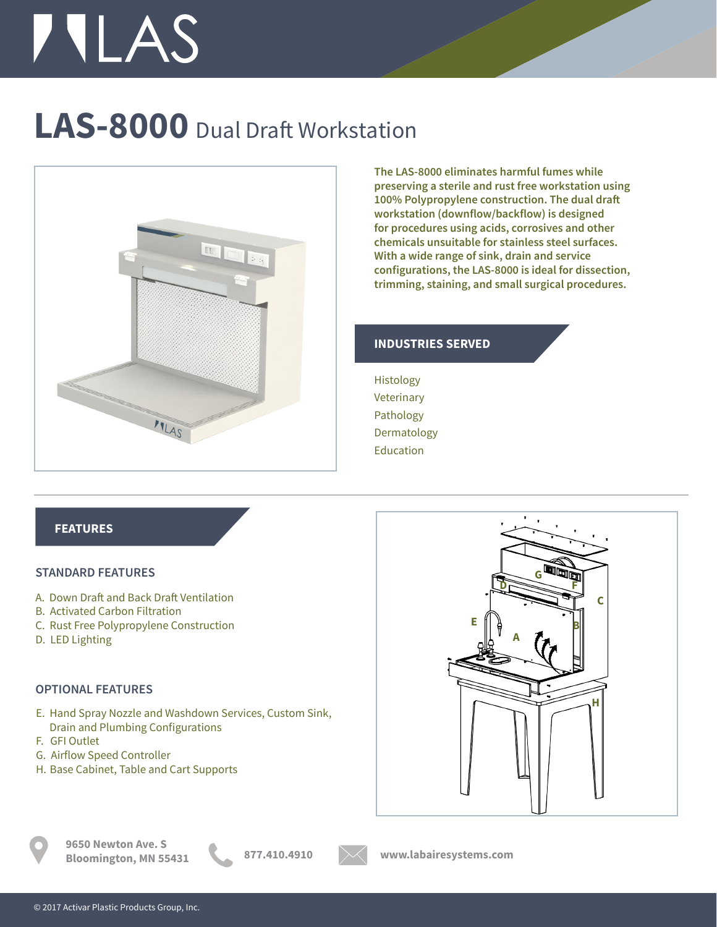# **TILAS**

### **LAS-8000** Dual Draft Workstation



**The LAS-8000 eliminates harmful fumes while preserving a sterile and rust free workstation using 100% Polypropylene construction. The dual draft workstation (downflow/backflow) is designed for procedures using acids, corrosives and other chemicals unsuitable for stainless steel surfaces. With a wide range of sink, drain and service configurations, the LAS-8000 is ideal for dissection, trimming, staining, and small surgical procedures.** 

#### **INDUSTRIES SERVED**

Histology Veterinary Pathology Dermatology Education

#### **FEATURES**

#### **STANDARD FEATURES**

- A. Down Draft and Back Draft Ventilation
- B. Activated Carbon Filtration
- C. Rust Free Polypropylene Construction
- D. LED Lighting

#### **OPTIONAL FEATURES**

- E. Hand Spray Nozzle and Washdown Services, Custom Sink, Drain and Plumbing Configurations
- F. GFI Outlet
- G. Airflow Speed Controller
- H. Base Cabinet, Table and Cart Supports